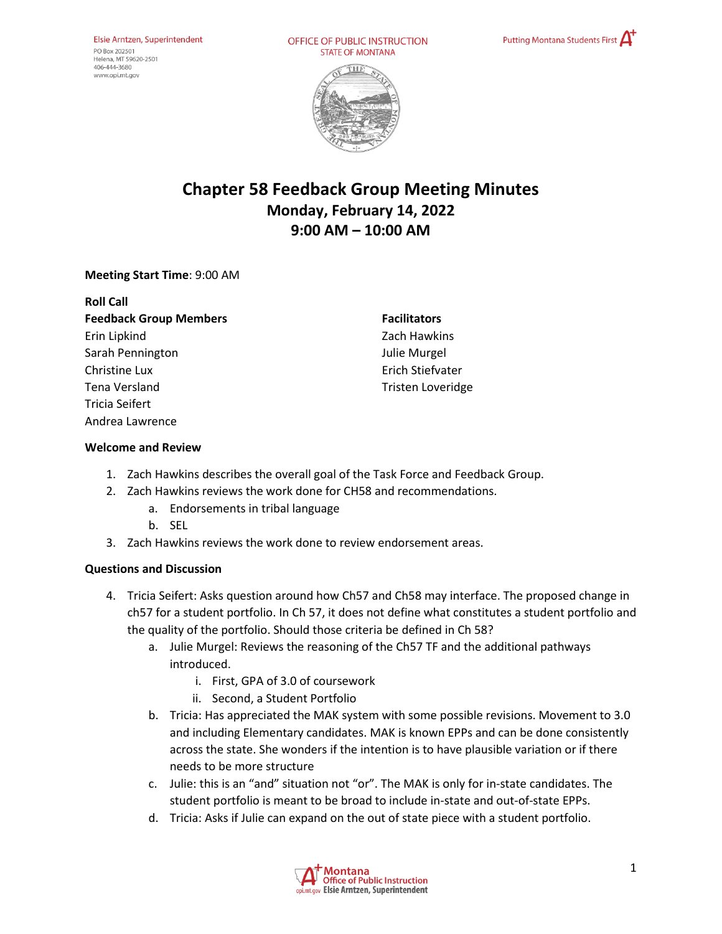OFFICE OF PUBLIC INSTRUCTION **STATE OF MONTANA** 





# **Chapter 58 Feedback Group Meeting Minutes Monday, February 14, 2022 9:00 AM – 10:00 AM**

# **Meeting Start Time**: 9:00 AM

| <b>Roll Call</b>              |
|-------------------------------|
| <b>Feedback Group Members</b> |
| Erin Lipkind                  |
| Sarah Pennington              |
| Christine Lux                 |
| Tena Versland                 |
| Tricia Seifert                |
| Andrea Lawrence               |
|                               |

**Facilitators**  Zach Hawkins Julie Murgel Erich Stiefvater Tristen Loveridge

### **Welcome and Review**

- 1. Zach Hawkins describes the overall goal of the Task Force and Feedback Group.
- 2. Zach Hawkins reviews the work done for CH58 and recommendations.
	- a. Endorsements in tribal language
	- b. SEL
- 3. Zach Hawkins reviews the work done to review endorsement areas.

#### **Questions and Discussion**

- 4. Tricia Seifert: Asks question around how Ch57 and Ch58 may interface. The proposed change in ch57 for a student portfolio. In Ch 57, it does not define what constitutes a student portfolio and the quality of the portfolio. Should those criteria be defined in Ch 58?
	- a. Julie Murgel: Reviews the reasoning of the Ch57 TF and the additional pathways introduced.
		- i. First, GPA of 3.0 of coursework
		- ii. Second, a Student Portfolio
	- b. Tricia: Has appreciated the MAK system with some possible revisions. Movement to 3.0 and including Elementary candidates. MAK is known EPPs and can be done consistently across the state. She wonders if the intention is to have plausible variation or if there needs to be more structure
	- c. Julie: this is an "and" situation not "or". The MAK is only for in-state candidates. The student portfolio is meant to be broad to include in-state and out-of-state EPPs.
	- d. Tricia: Asks if Julie can expand on the out of state piece with a student portfolio.

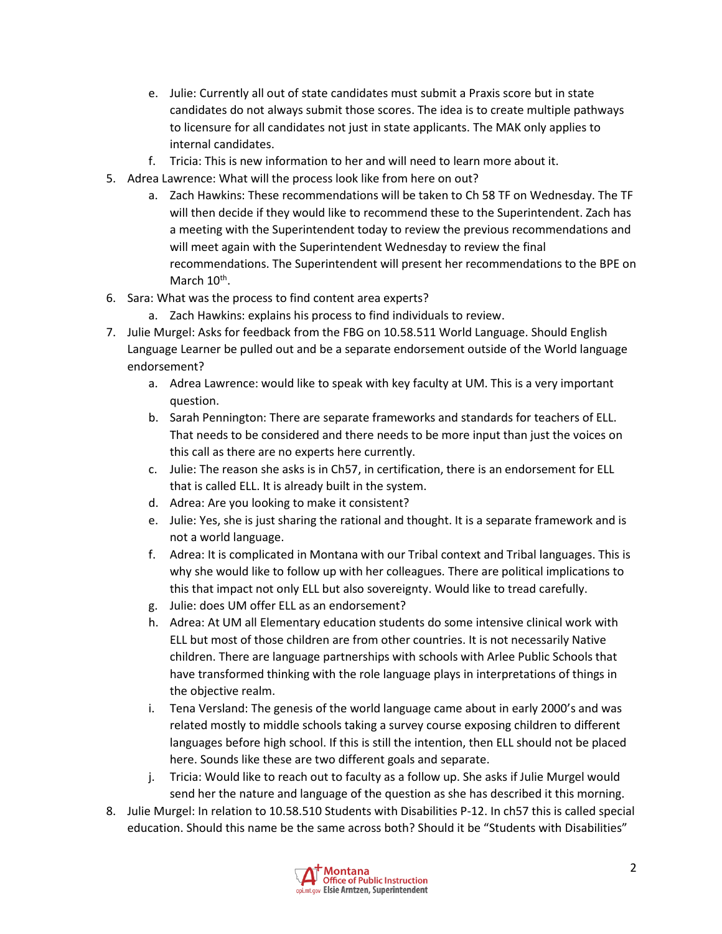- e. Julie: Currently all out of state candidates must submit a Praxis score but in state candidates do not always submit those scores. The idea is to create multiple pathways to licensure for all candidates not just in state applicants. The MAK only applies to internal candidates.
- f. Tricia: This is new information to her and will need to learn more about it.
- 5. Adrea Lawrence: What will the process look like from here on out?
	- a. Zach Hawkins: These recommendations will be taken to Ch 58 TF on Wednesday. The TF will then decide if they would like to recommend these to the Superintendent. Zach has a meeting with the Superintendent today to review the previous recommendations and will meet again with the Superintendent Wednesday to review the final recommendations. The Superintendent will present her recommendations to the BPE on March 10<sup>th</sup>.
- 6. Sara: What was the process to find content area experts?
	- a. Zach Hawkins: explains his process to find individuals to review.
- 7. Julie Murgel: Asks for feedback from the FBG on 10.58.511 World Language. Should English Language Learner be pulled out and be a separate endorsement outside of the World language endorsement?
	- a. Adrea Lawrence: would like to speak with key faculty at UM. This is a very important question.
	- b. Sarah Pennington: There are separate frameworks and standards for teachers of ELL. That needs to be considered and there needs to be more input than just the voices on this call as there are no experts here currently.
	- c. Julie: The reason she asks is in Ch57, in certification, there is an endorsement for ELL that is called ELL. It is already built in the system.
	- d. Adrea: Are you looking to make it consistent?
	- e. Julie: Yes, she is just sharing the rational and thought. It is a separate framework and is not a world language.
	- f. Adrea: It is complicated in Montana with our Tribal context and Tribal languages. This is why she would like to follow up with her colleagues. There are political implications to this that impact not only ELL but also sovereignty. Would like to tread carefully.
	- g. Julie: does UM offer ELL as an endorsement?
	- h. Adrea: At UM all Elementary education students do some intensive clinical work with ELL but most of those children are from other countries. It is not necessarily Native children. There are language partnerships with schools with Arlee Public Schools that have transformed thinking with the role language plays in interpretations of things in the objective realm.
	- i. Tena Versland: The genesis of the world language came about in early 2000's and was related mostly to middle schools taking a survey course exposing children to different languages before high school. If this is still the intention, then ELL should not be placed here. Sounds like these are two different goals and separate.
	- j. Tricia: Would like to reach out to faculty as a follow up. She asks if Julie Murgel would send her the nature and language of the question as she has described it this morning.
- 8. Julie Murgel: In relation to 10.58.510 Students with Disabilities P-12. In ch57 this is called special education. Should this name be the same across both? Should it be "Students with Disabilities"